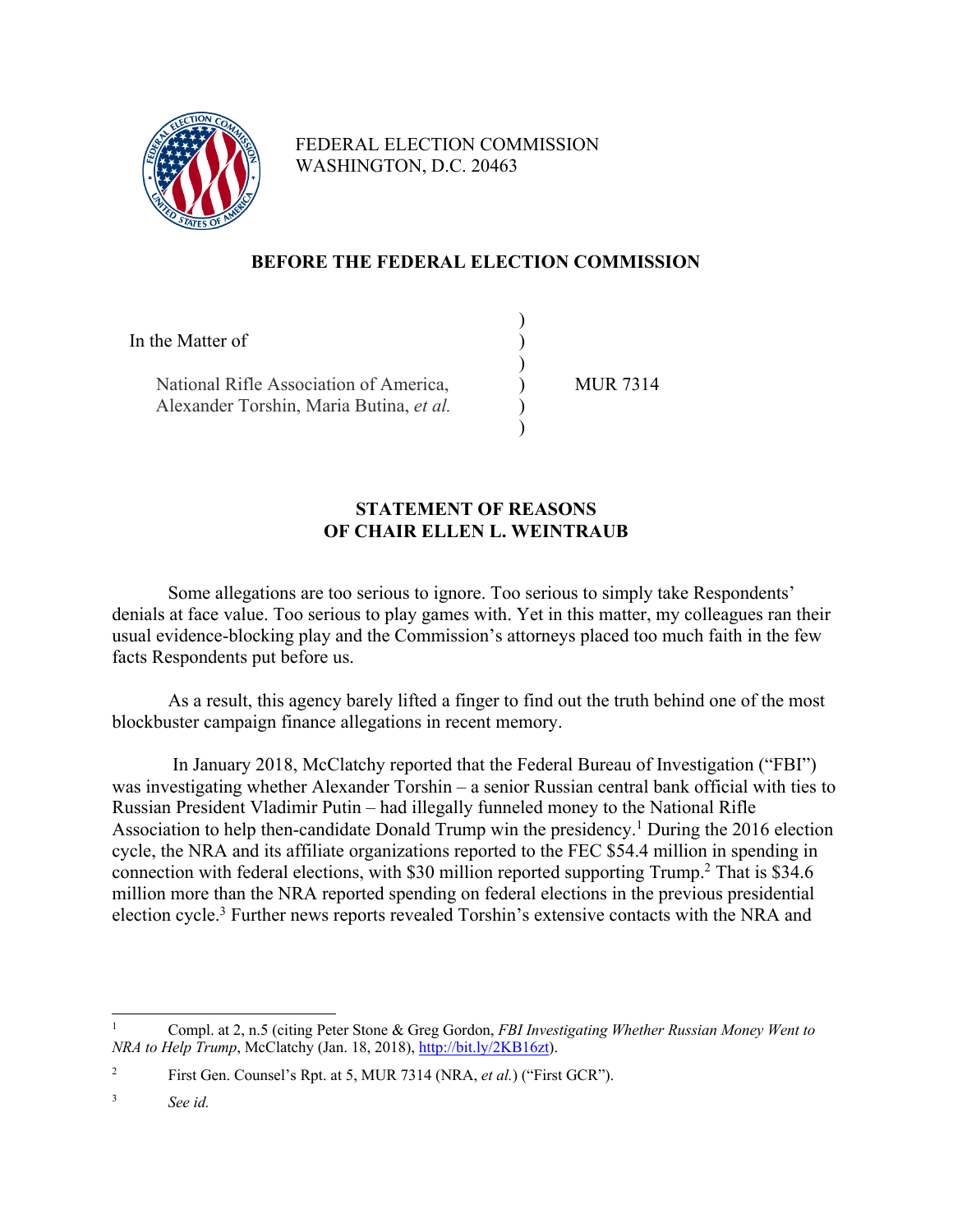

FEDERAL ELECTION COMMISSION WASHINGTON, D.C. 20463

## **BEFORE THE FEDERAL ELECTION COMMISSION**

| In the Matter of                                                                  |                 |
|-----------------------------------------------------------------------------------|-----------------|
| National Rifle Association of America,<br>Alexander Torshin, Maria Butina, et al. | <b>MUR 7314</b> |

## **STATEMENT OF REASONS OF CHAIR ELLEN L. WEINTRAUB**

Some allegations are too serious to ignore. Too serious to simply take Respondents' denials at face value. Too serious to play games with. Yet in this matter, my colleagues ran their usual evidence-blocking play and the Commission's attorneys placed too much faith in the few facts Respondents put before us.

As a result, this agency barely lifted a finger to find out the truth behind one of the most blockbuster campaign finance allegations in recent memory.

In January 2018, McClatchy reported that the Federal Bureau of Investigation ("FBI") was investigating whether Alexander Torshin – a senior Russian central bank official with ties to Russian President Vladimir Putin – had illegally funneled money to the National Rifle Association to help then-candidate Donald Trump win the presidency.<sup>1</sup> During the 2016 election cycle, the NRA and its affiliate organizations reported to the FEC \$54.4 million in spending in connection with federal elections, with \$30 million reported supporting Trump.<sup>2</sup> That is \$34.6 million more than the NRA reported spending on federal elections in the previous presidential election cycle.3 Further news reports revealed Torshin's extensive contacts with the NRA and

<sup>1</sup> Compl. at 2, n.5 (citing Peter Stone & Greg Gordon, *FBI Investigating Whether Russian Money Went to NRA to Help Trump*, McClatchy (Jan. 18, 2018), http://bit.ly/2KB16zt).

<sup>&</sup>lt;sup>2</sup> First Gen. Counsel's Rpt. at 5, MUR 7314 (NRA, *et al.*) ("First GCR").

<sup>3</sup> *See id.*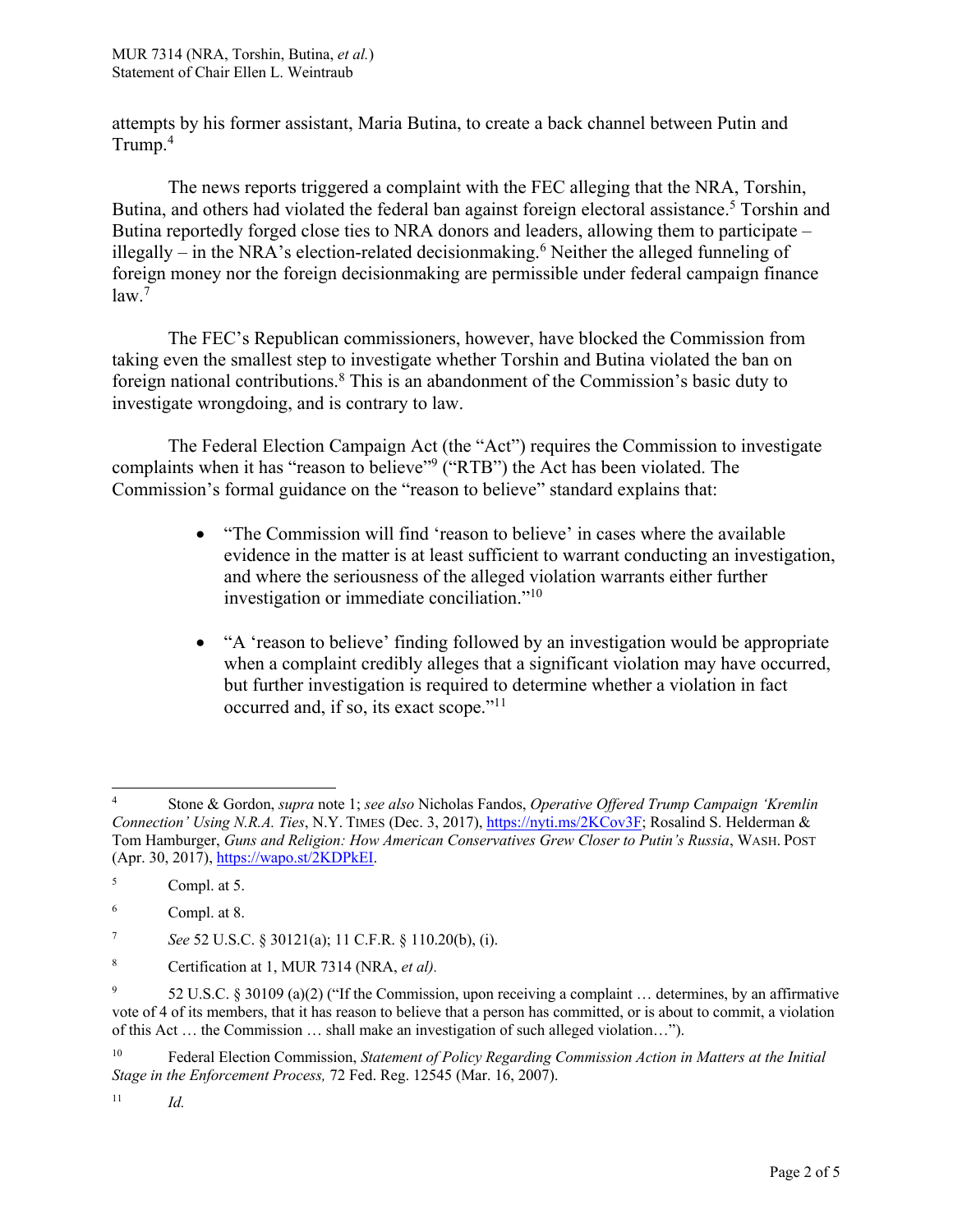attempts by his former assistant, Maria Butina, to create a back channel between Putin and Trump.4

The news reports triggered a complaint with the FEC alleging that the NRA, Torshin, Butina, and others had violated the federal ban against foreign electoral assistance.<sup>5</sup> Torshin and Butina reportedly forged close ties to NRA donors and leaders, allowing them to participate – illegally – in the NRA's election-related decisionmaking. <sup>6</sup> Neither the alleged funneling of foreign money nor the foreign decisionmaking are permissible under federal campaign finance  $law.<sup>7</sup>$ 

The FEC's Republican commissioners, however, have blocked the Commission from taking even the smallest step to investigate whether Torshin and Butina violated the ban on foreign national contributions.8 This is an abandonment of the Commission's basic duty to investigate wrongdoing, and is contrary to law.

The Federal Election Campaign Act (the "Act") requires the Commission to investigate complaints when it has "reason to believe"<sup>9</sup> ("RTB") the Act has been violated. The Commission's formal guidance on the "reason to believe" standard explains that:

- "The Commission will find 'reason to believe' in cases where the available evidence in the matter is at least sufficient to warrant conducting an investigation, and where the seriousness of the alleged violation warrants either further investigation or immediate conciliation."10
- "A 'reason to believe' finding followed by an investigation would be appropriate when a complaint credibly alleges that a significant violation may have occurred, but further investigation is required to determine whether a violation in fact occurred and, if so, its exact scope."11

<sup>4</sup> Stone & Gordon, *supra* note 1; *see also* Nicholas Fandos, *Operative Offered Trump Campaign 'Kremlin Connection' Using N.R.A. Ties*, N.Y. TIMES (Dec. 3, 2017), https://nyti.ms/2KCov3F; Rosalind S. Helderman & Tom Hamburger, *Guns and Religion: How American Conservatives Grew Closer to Putin's Russia*, WASH. POST (Apr. 30, 2017), https://wapo.st/2KDPkEI.

 $5$  Compl. at 5.

<sup>6</sup> Compl. at 8.

<sup>7</sup> *See* 52 U.S.C. § 30121(a); 11 C.F.R. § 110.20(b), (i).

<sup>8</sup> Certification at 1, MUR 7314 (NRA, *et al).*

<sup>&</sup>lt;sup>9</sup> 52 U.S.C. § 30109 (a)(2) ("If the Commission, upon receiving a complaint ... determines, by an affirmative vote of 4 of its members, that it has reason to believe that a person has committed, or is about to commit, a violation of this Act … the Commission … shall make an investigation of such alleged violation…").

<sup>10</sup> Federal Election Commission, *Statement of Policy Regarding Commission Action in Matters at the Initial Stage in the Enforcement Process,* 72 Fed. Reg. 12545 (Mar. 16, 2007).

<sup>11</sup> *Id.*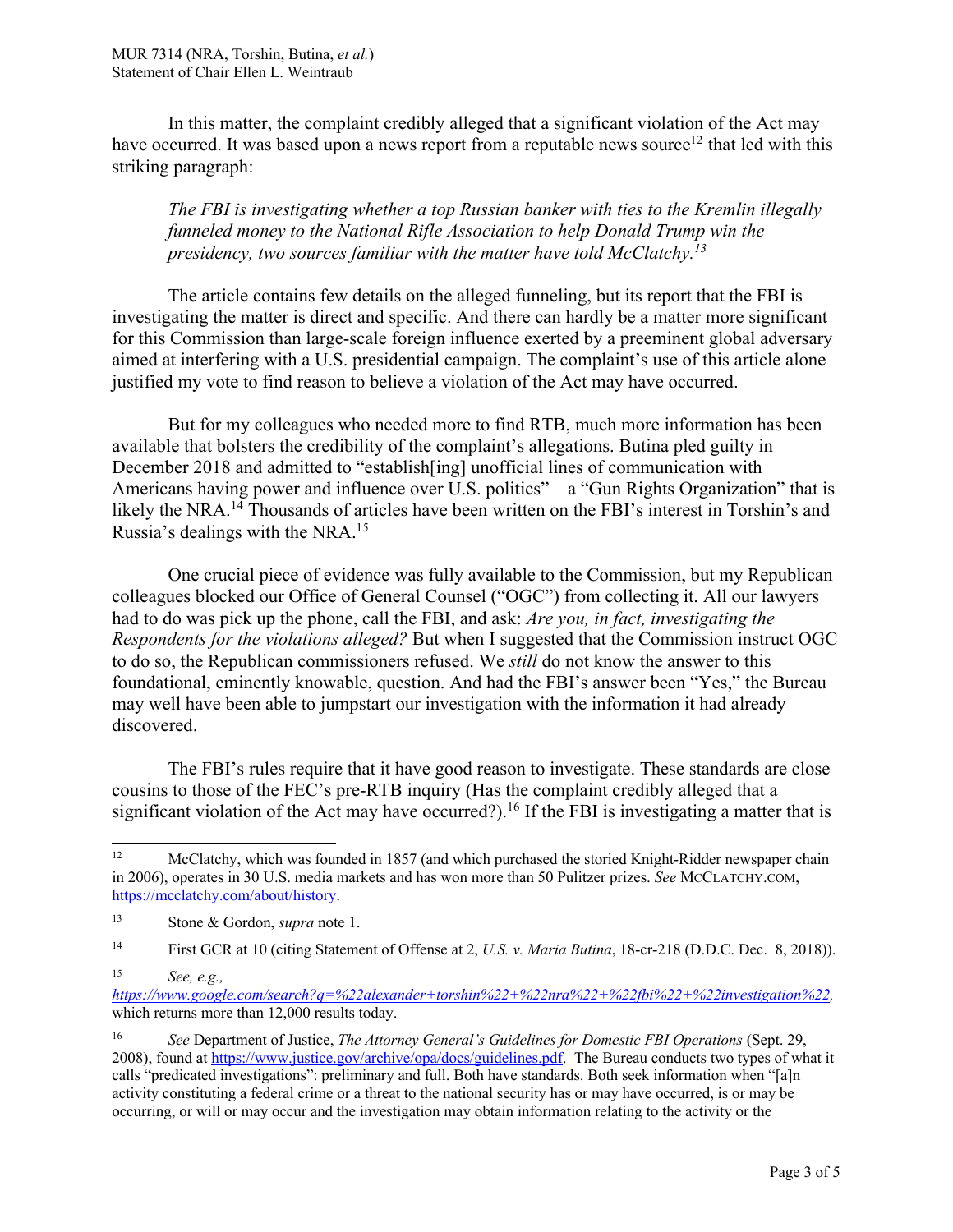In this matter, the complaint credibly alleged that a significant violation of the Act may have occurred. It was based upon a news report from a reputable news source<sup>12</sup> that led with this striking paragraph:

*The FBI is investigating whether a top Russian banker with ties to the Kremlin illegally funneled money to the National Rifle Association to help Donald Trump win the presidency, two sources familiar with the matter have told McClatchy.13*

The article contains few details on the alleged funneling, but its report that the FBI is investigating the matter is direct and specific. And there can hardly be a matter more significant for this Commission than large-scale foreign influence exerted by a preeminent global adversary aimed at interfering with a U.S. presidential campaign. The complaint's use of this article alone justified my vote to find reason to believe a violation of the Act may have occurred.

But for my colleagues who needed more to find RTB, much more information has been available that bolsters the credibility of the complaint's allegations. Butina pled guilty in December 2018 and admitted to "establish[ing] unofficial lines of communication with Americans having power and influence over U.S. politics" – a "Gun Rights Organization" that is likely the NRA.<sup>14</sup> Thousands of articles have been written on the FBI's interest in Torshin's and Russia's dealings with the NRA. 15

One crucial piece of evidence was fully available to the Commission, but my Republican colleagues blocked our Office of General Counsel ("OGC") from collecting it. All our lawyers had to do was pick up the phone, call the FBI, and ask: *Are you, in fact, investigating the Respondents for the violations alleged?* But when I suggested that the Commission instruct OGC to do so, the Republican commissioners refused. We *still* do not know the answer to this foundational, eminently knowable, question. And had the FBI's answer been "Yes," the Bureau may well have been able to jumpstart our investigation with the information it had already discovered.

The FBI's rules require that it have good reason to investigate. These standards are close cousins to those of the FEC's pre-RTB inquiry (Has the complaint credibly alleged that a significant violation of the Act may have occurred?).<sup>16</sup> If the FBI is investigating a matter that is

<sup>&</sup>lt;sup>12</sup> McClatchy, which was founded in 1857 (and which purchased the storied Knight-Ridder newspaper chain in 2006), operates in 30 U.S. media markets and has won more than 50 Pulitzer prizes. *See* MCCLATCHY.COM, https://mcclatchy.com/about/history.

<sup>13</sup> Stone & Gordon, *supra* note 1.

<sup>14</sup> First GCR at 10 (citing Statement of Offense at 2, *U.S. v. Maria Butina*, 18-cr-218 (D.D.C. Dec. 8, 2018)). <sup>15</sup> *See, e.g.,* 

*https://www.google.com/search?q=%22alexander+torshin%22+%22nra%22+%22fbi%22+%22investigation%22,*  which returns more than 12,000 results today.

<sup>16</sup> *See* Department of Justice, *The Attorney General's Guidelines for Domestic FBI Operations* (Sept. 29, 2008), found at https://www.justice.gov/archive/opa/docs/guidelines.pdf. The Bureau conducts two types of what it calls "predicated investigations": preliminary and full. Both have standards. Both seek information when "[a]n activity constituting a federal crime or a threat to the national security has or may have occurred, is or may be occurring, or will or may occur and the investigation may obtain information relating to the activity or the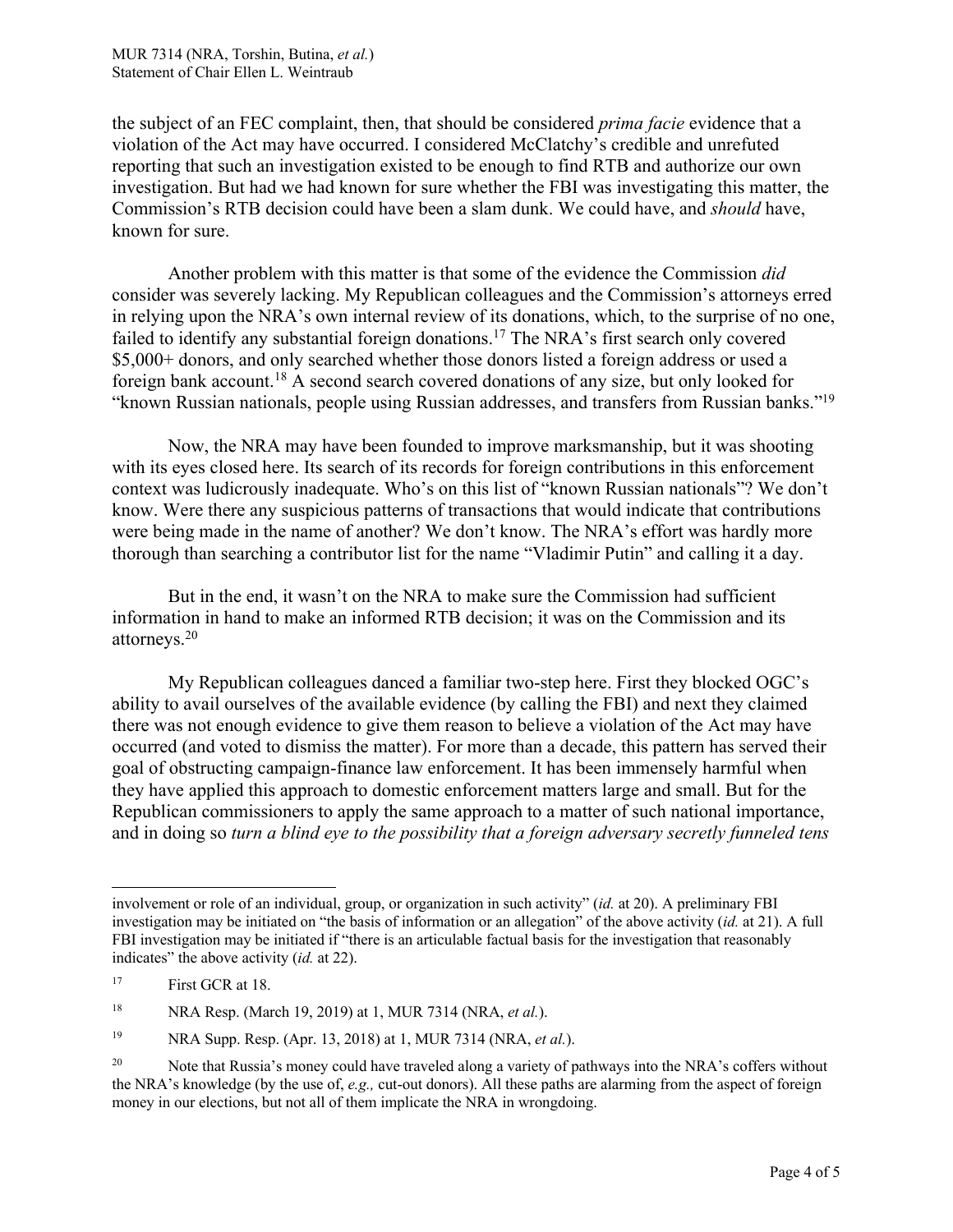the subject of an FEC complaint, then, that should be considered *prima facie* evidence that a violation of the Act may have occurred. I considered McClatchy's credible and unrefuted reporting that such an investigation existed to be enough to find RTB and authorize our own investigation. But had we had known for sure whether the FBI was investigating this matter, the Commission's RTB decision could have been a slam dunk. We could have, and *should* have, known for sure.

Another problem with this matter is that some of the evidence the Commission *did* consider was severely lacking. My Republican colleagues and the Commission's attorneys erred in relying upon the NRA's own internal review of its donations, which, to the surprise of no one, failed to identify any substantial foreign donations.<sup>17</sup> The NRA's first search only covered \$5,000+ donors, and only searched whether those donors listed a foreign address or used a foreign bank account.18 A second search covered donations of any size, but only looked for "known Russian nationals, people using Russian addresses, and transfers from Russian banks."19

Now, the NRA may have been founded to improve marksmanship, but it was shooting with its eyes closed here. Its search of its records for foreign contributions in this enforcement context was ludicrously inadequate. Who's on this list of "known Russian nationals"? We don't know. Were there any suspicious patterns of transactions that would indicate that contributions were being made in the name of another? We don't know. The NRA's effort was hardly more thorough than searching a contributor list for the name "Vladimir Putin" and calling it a day.

But in the end, it wasn't on the NRA to make sure the Commission had sufficient information in hand to make an informed RTB decision; it was on the Commission and its attorneys.20

My Republican colleagues danced a familiar two-step here. First they blocked OGC's ability to avail ourselves of the available evidence (by calling the FBI) and next they claimed there was not enough evidence to give them reason to believe a violation of the Act may have occurred (and voted to dismiss the matter). For more than a decade, this pattern has served their goal of obstructing campaign-finance law enforcement. It has been immensely harmful when they have applied this approach to domestic enforcement matters large and small. But for the Republican commissioners to apply the same approach to a matter of such national importance, and in doing so *turn a blind eye to the possibility that a foreign adversary secretly funneled tens* 

involvement or role of an individual, group, or organization in such activity" (*id.* at 20). A preliminary FBI investigation may be initiated on "the basis of information or an allegation" of the above activity (*id.* at 21). A full FBI investigation may be initiated if "there is an articulable factual basis for the investigation that reasonably indicates" the above activity (*id.* at 22).

<sup>&</sup>lt;sup>17</sup> First GCR at 18.

<sup>18</sup> NRA Resp. (March 19, 2019) at 1, MUR 7314 (NRA, *et al.*).

<sup>19</sup> NRA Supp. Resp. (Apr. 13, 2018) at 1, MUR 7314 (NRA, *et al.*).

<sup>&</sup>lt;sup>20</sup> Note that Russia's money could have traveled along a variety of pathways into the NRA's coffers without the NRA's knowledge (by the use of, *e.g.,* cut-out donors). All these paths are alarming from the aspect of foreign money in our elections, but not all of them implicate the NRA in wrongdoing.